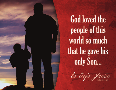**God loved the** people of this world so much that he gave his only Son...

lo dijo Jesús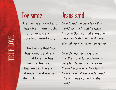life has been good and has given them much. For others, it's a totally different story.

The truth is that God has loved us all and in that love, he has given us Jesus so that we can have an abundant and eternal life in Him.

## For some Jesus said:

God loved the people of this world so much that he gave his only Son, so that everyone who has faith in him will have eternal life and never really die.

God did not send his Son into the world to condemn its people. He sent him to save them! No one who has faith in God's Son will be condemned. The light has come into the world...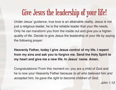## Give Jesus the leadership of your life!

Under Jesus' guidance, true love is an attainable reality. Jesus is not just a religious leader, he is the reliable leader that your life needs. Only he can transform you from the inside out and give you a higherquality of life. Decide to give Jesus the leadership of your life by saying the following prayer:

**Heavenly Father, today I give Jesus control of my life. I repent from my sins and ask you to forgive me. Send the Holy Spirit to my heart and give me a new life. In Jesus' name. Amen.**

Congratulations! From this moment on, you are a child of God and he is now your Heavenly Father because to all who believed him and accepted him, he gave the right to become children of God.

 $John 1:12$